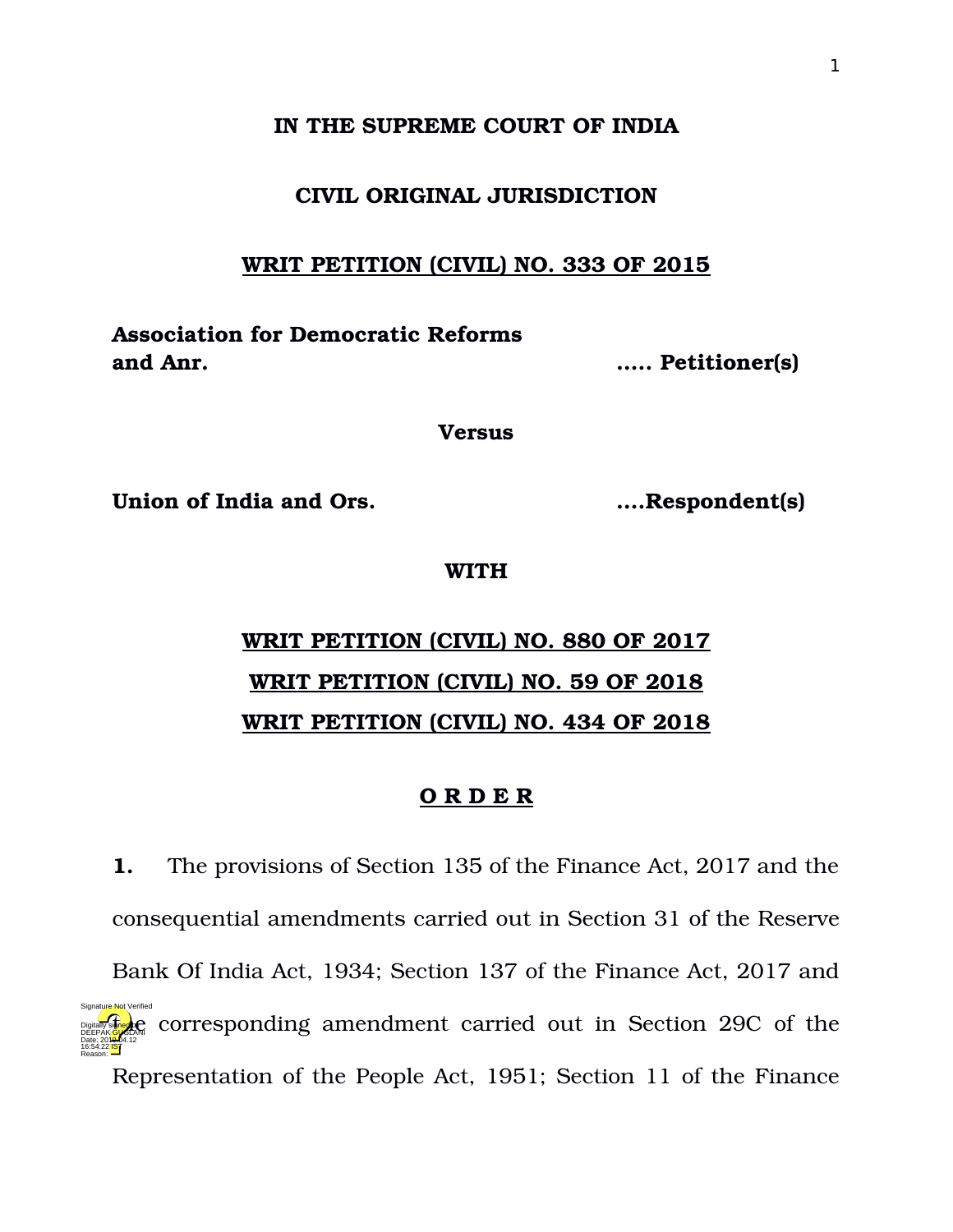## **IN THE SUPREME COURT OF INDIA**

## **CIVIL ORIGINAL JURISDICTION**

## **WRIT PETITION (CIVIL) NO. 333 OF 2015**

**Association for Democratic Reforms and Anr. ….. Petitioner(s)**

**Versus**

**Union of India and Ors. ….Respondent(s)**

## **WITH**

# **WRIT PETITION (CIVIL) NO. 880 OF 2017 WRIT PETITION (CIVIL) NO. 59 OF 2018 WRIT PETITION (CIVIL) NO. 434 OF 2018**

## **O R D E R**

**1.** The provisions of Section 135 of the Finance Act, 2017 and the consequential amendments carried out in Section 31 of the Reserve Bank Of India Act, 1934; Section 137 of the Finance Act, 2017 and **Digital Corresponding amendment carried out in Section 29C of the** Representation of the People Act, 1951; Section 11 of the Finance Date: 2010.04.12 16:54:22 IST Reason: Signature Not Verified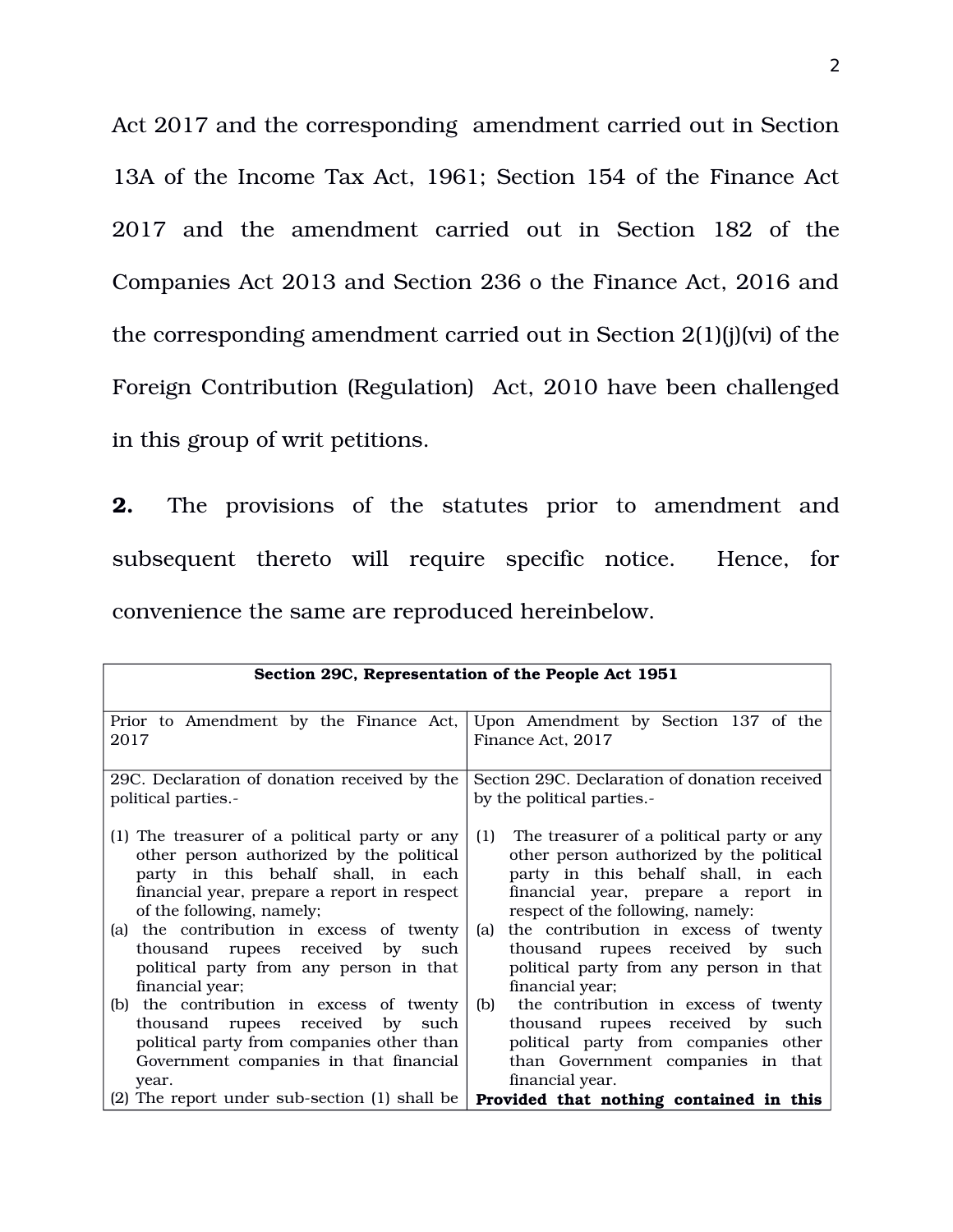Act 2017 and the corresponding amendment carried out in Section 13A of the Income Tax Act, 1961; Section 154 of the Finance Act 2017 and the amendment carried out in Section 182 of the Companies Act 2013 and Section 236 o the Finance Act, 2016 and the corresponding amendment carried out in Section 2(1)(j)(vi) of the Foreign Contribution (Regulation) Act, 2010 have been challenged in this group of writ petitions.

**2.** The provisions of the statutes prior to amendment and subsequent thereto will require specific notice. Hence, for convenience the same are reproduced hereinbelow.

| Section 29C, Representation of the People Act 1951 |                                               |  |
|----------------------------------------------------|-----------------------------------------------|--|
|                                                    |                                               |  |
| Prior to Amendment by the Finance Act,             | Upon Amendment by Section 137 of the          |  |
| 2017                                               | Finance Act, 2017                             |  |
| 29C. Declaration of donation received by the       | Section 29C. Declaration of donation received |  |
| political parties.                                 | by the political parties.                     |  |
| (1) The treasurer of a political party or any      | The treasurer of a political party or any     |  |
| other person authorized by the political           | (1)                                           |  |
| party in this behalf shall, in each                | other person authorized by the political      |  |
| financial year, prepare a report in respect        | party in this behalf shall, in each           |  |
| of the following, namely;                          | financial year, prepare a report in           |  |
| (a) the contribution in excess of twenty           | respect of the following, namely:             |  |
| thousand rupees received                           | the contribution in excess of twenty          |  |
| by                                                 | (a)                                           |  |
| such                                               | thousand rupees received by such              |  |
| political party from any person in that            | political party from any person in that       |  |
| financial year;                                    | financial year;                               |  |
| (b) the contribution in excess of twenty           | the contribution in excess of twenty          |  |
| thousand rupees received                           | (b)                                           |  |
| by                                                 | thousand rupees received by                   |  |
| such                                               | such                                          |  |
| political party from companies other than          | political party from companies other          |  |
| Government companies in that financial             | than Government companies in that             |  |
| year.                                              | financial year.                               |  |
| (2) The report under sub-section (1) shall be      | Provided that nothing contained in this       |  |
|                                                    |                                               |  |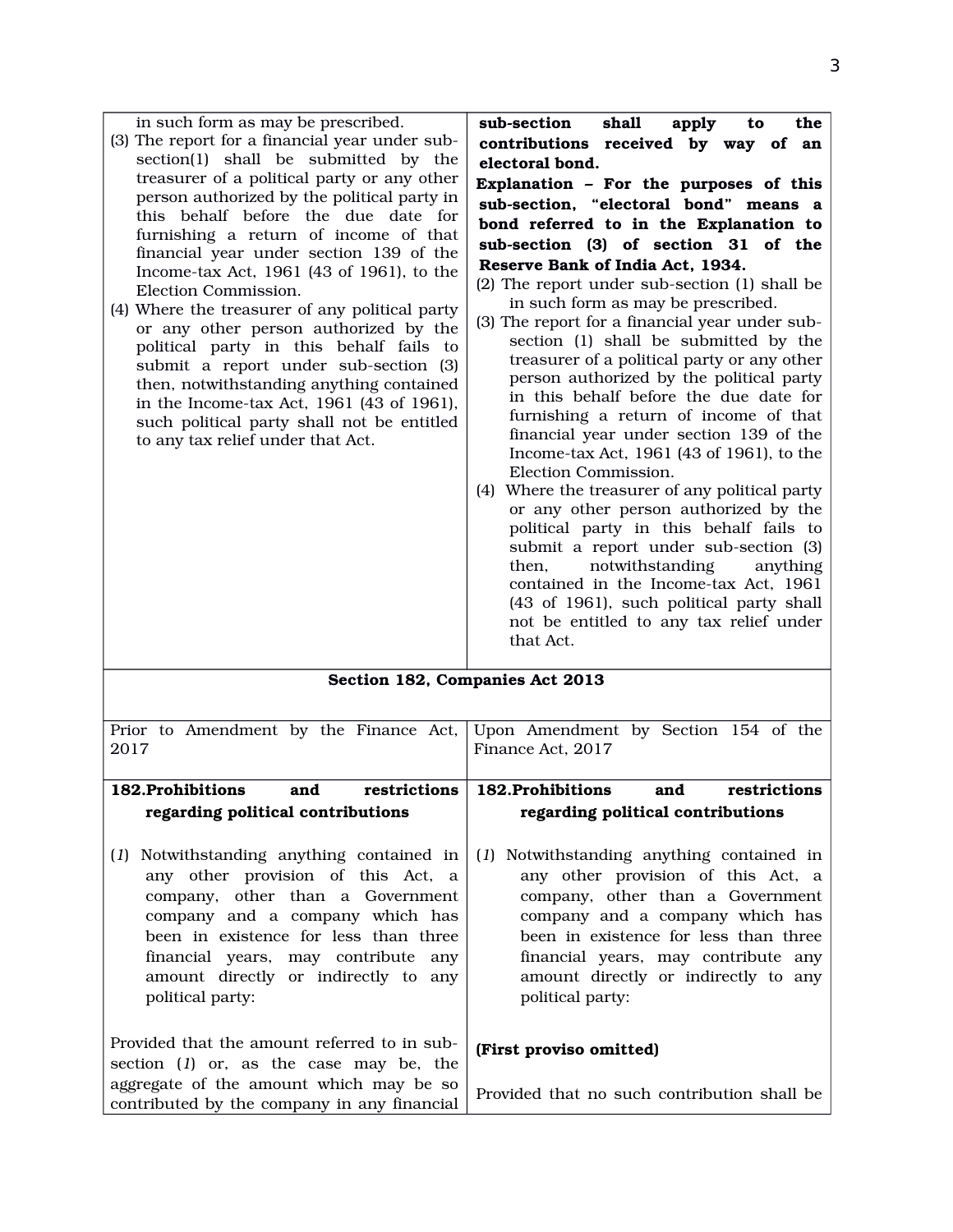| in such form as may be prescribed.<br>(3) The report for a financial year under sub-<br>section(1) shall be submitted by the<br>treasurer of a political party or any other<br>person authorized by the political party in<br>this behalf before the due date for<br>furnishing a return of income of that<br>financial year under section 139 of the<br>Income-tax Act, 1961 (43 of 1961), to the<br>Election Commission.<br>(4) Where the treasurer of any political party<br>or any other person authorized by the<br>political party in this behalf fails to<br>submit a report under sub-section (3)<br>then, notwithstanding anything contained<br>in the Income-tax Act, 1961 (43 of 1961),<br>such political party shall not be entitled<br>to any tax relief under that Act. | shall<br>sub-section<br>apply<br>the<br>to<br>contributions received by way of<br>an<br>electoral bond.<br>Explanation - For the purposes of this<br>sub-section, "electoral bond" means a<br>bond referred to in the Explanation to<br>sub-section (3) of section 31 of the<br>Reserve Bank of India Act, 1934.<br>(2) The report under sub-section (1) shall be<br>in such form as may be prescribed.<br>(3) The report for a financial year under sub-<br>section (1) shall be submitted by the<br>treasurer of a political party or any other<br>person authorized by the political party<br>in this behalf before the due date for<br>furnishing a return of income of that<br>financial year under section 139 of the<br>Income-tax Act, 1961 (43 of 1961), to the<br>Election Commission.<br>Where the treasurer of any political party<br>(4)<br>or any other person authorized by the<br>political party in this behalf fails to<br>submit a report under sub-section (3)<br>then,<br>notwithstanding<br>anything<br>contained in the Income-tax Act, 1961<br>(43 of 1961), such political party shall<br>not be entitled to any tax relief under<br>that Act. |
|---------------------------------------------------------------------------------------------------------------------------------------------------------------------------------------------------------------------------------------------------------------------------------------------------------------------------------------------------------------------------------------------------------------------------------------------------------------------------------------------------------------------------------------------------------------------------------------------------------------------------------------------------------------------------------------------------------------------------------------------------------------------------------------|-------------------------------------------------------------------------------------------------------------------------------------------------------------------------------------------------------------------------------------------------------------------------------------------------------------------------------------------------------------------------------------------------------------------------------------------------------------------------------------------------------------------------------------------------------------------------------------------------------------------------------------------------------------------------------------------------------------------------------------------------------------------------------------------------------------------------------------------------------------------------------------------------------------------------------------------------------------------------------------------------------------------------------------------------------------------------------------------------------------------------------------------------------------------------|
|---------------------------------------------------------------------------------------------------------------------------------------------------------------------------------------------------------------------------------------------------------------------------------------------------------------------------------------------------------------------------------------------------------------------------------------------------------------------------------------------------------------------------------------------------------------------------------------------------------------------------------------------------------------------------------------------------------------------------------------------------------------------------------------|-------------------------------------------------------------------------------------------------------------------------------------------------------------------------------------------------------------------------------------------------------------------------------------------------------------------------------------------------------------------------------------------------------------------------------------------------------------------------------------------------------------------------------------------------------------------------------------------------------------------------------------------------------------------------------------------------------------------------------------------------------------------------------------------------------------------------------------------------------------------------------------------------------------------------------------------------------------------------------------------------------------------------------------------------------------------------------------------------------------------------------------------------------------------------|

|  |  | Section 182, Companies Act 2013 |  |
|--|--|---------------------------------|--|
|--|--|---------------------------------|--|

| Prior to Amendment by the Finance Act,<br>2017                                                                                                                                                                                                                                                        | Upon Amendment by Section 154 of the<br>Finance Act, 2017                                                                                                                                                                                                                                          |
|-------------------------------------------------------------------------------------------------------------------------------------------------------------------------------------------------------------------------------------------------------------------------------------------------------|----------------------------------------------------------------------------------------------------------------------------------------------------------------------------------------------------------------------------------------------------------------------------------------------------|
| <b>182.Prohibitions</b><br>and<br>restrictions                                                                                                                                                                                                                                                        | <b>182.Prohibitions</b><br>and<br>restrictions                                                                                                                                                                                                                                                     |
| regarding political contributions                                                                                                                                                                                                                                                                     | regarding political contributions                                                                                                                                                                                                                                                                  |
| Notwithstanding anything contained in<br>(1)<br>any other provision of this Act, a<br>company, other than a Government<br>company and a company which has<br>been in existence for less than three<br>financial years, may contribute any<br>amount directly or indirectly to any<br>political party: | (1) Notwithstanding anything contained in<br>any other provision of this Act, a<br>company, other than a Government<br>company and a company which has<br>been in existence for less than three<br>financial years, may contribute any<br>amount directly or indirectly to any<br>political party: |
| Provided that the amount referred to in sub-<br>section (1) or, as the case may be, the                                                                                                                                                                                                               | (First proviso omitted)                                                                                                                                                                                                                                                                            |
| aggregate of the amount which may be so<br>contributed by the company in any financial                                                                                                                                                                                                                | Provided that no such contribution shall be                                                                                                                                                                                                                                                        |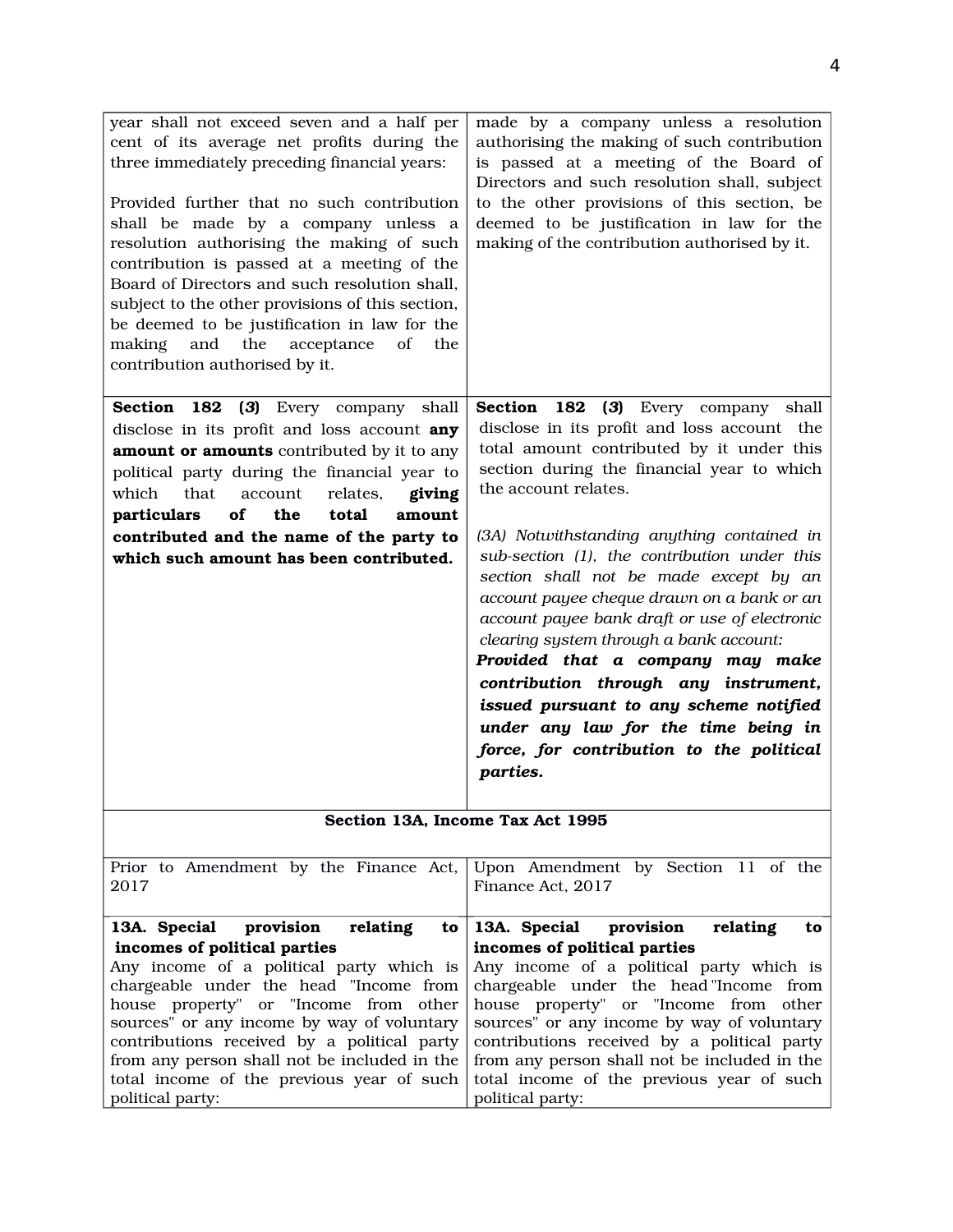| year shall not exceed seven and a half per<br>cent of its average net profits during the<br>three immediately preceding financial years:<br>Provided further that no such contribution<br>shall be made by a company unless a<br>resolution authorising the making of such<br>contribution is passed at a meeting of the<br>Board of Directors and such resolution shall,<br>subject to the other provisions of this section,<br>be deemed to be justification in law for the<br>and<br>the<br>acceptance<br>of<br>the<br>making<br>contribution authorised by it. | made by a company unless a resolution<br>authorising the making of such contribution<br>is passed at a meeting of the Board of<br>Directors and such resolution shall, subject<br>to the other provisions of this section, be<br>deemed to be justification in law for the<br>making of the contribution authorised by it.                                                                                                                                                                          |
|--------------------------------------------------------------------------------------------------------------------------------------------------------------------------------------------------------------------------------------------------------------------------------------------------------------------------------------------------------------------------------------------------------------------------------------------------------------------------------------------------------------------------------------------------------------------|-----------------------------------------------------------------------------------------------------------------------------------------------------------------------------------------------------------------------------------------------------------------------------------------------------------------------------------------------------------------------------------------------------------------------------------------------------------------------------------------------------|
| <b>Section</b><br>182<br>$\left(3\right)$<br>Every company<br>shall<br>disclose in its profit and loss account any<br>amount or amounts contributed by it to any<br>political party during the financial year to                                                                                                                                                                                                                                                                                                                                                   | Section<br>182<br>(3) Every company shall<br>disclose in its profit and loss account the<br>total amount contributed by it under this<br>section during the financial year to which                                                                                                                                                                                                                                                                                                                 |
| which<br>relates,<br>giving<br>that<br>account<br>of<br>the<br>total<br>particulars<br>amount                                                                                                                                                                                                                                                                                                                                                                                                                                                                      | the account relates.                                                                                                                                                                                                                                                                                                                                                                                                                                                                                |
| contributed and the name of the party to<br>which such amount has been contributed.                                                                                                                                                                                                                                                                                                                                                                                                                                                                                | (3A) Notwithstanding anything contained in<br>sub-section (1), the contribution under this<br>section shall not be made except by an<br>account payee cheque drawn on a bank or an<br>account payee bank draft or use of electronic<br>clearing system through a bank account:<br>Provided that a company may make<br>contribution through any instrument,<br>issued pursuant to any scheme notified<br>under any law for the time being in<br>force, for contribution to the political<br>parties. |
| Section 13A, Income Tax Act 1995                                                                                                                                                                                                                                                                                                                                                                                                                                                                                                                                   |                                                                                                                                                                                                                                                                                                                                                                                                                                                                                                     |
| Prior to Amendment by the Finance Act,<br>2017                                                                                                                                                                                                                                                                                                                                                                                                                                                                                                                     | Upon Amendment by Section 11 of the<br>Finance Act, 2017                                                                                                                                                                                                                                                                                                                                                                                                                                            |

| 13A. Special provision relating                                                           | to $\vert$ 13A. Special provision relating<br>to |
|-------------------------------------------------------------------------------------------|--------------------------------------------------|
| incomes of political parties                                                              | incomes of political parties                     |
| Any income of a political party which is $\vert$ Any income of a political party which is |                                                  |
| chargeable under the head "Income from chargeable under the head "Income from             |                                                  |
| house property" or "Income from other   house property" or "Income from other             |                                                  |
| sources" or any income by way of voluntary sources" or any income by way of voluntary     |                                                  |
| contributions received by a political party contributions received by a political party   |                                                  |
| from any person shall not be included in the                                              | from any person shall not be included in the     |
| total income of the previous year of such total income of the previous year of such       |                                                  |
| political party:                                                                          | political party:                                 |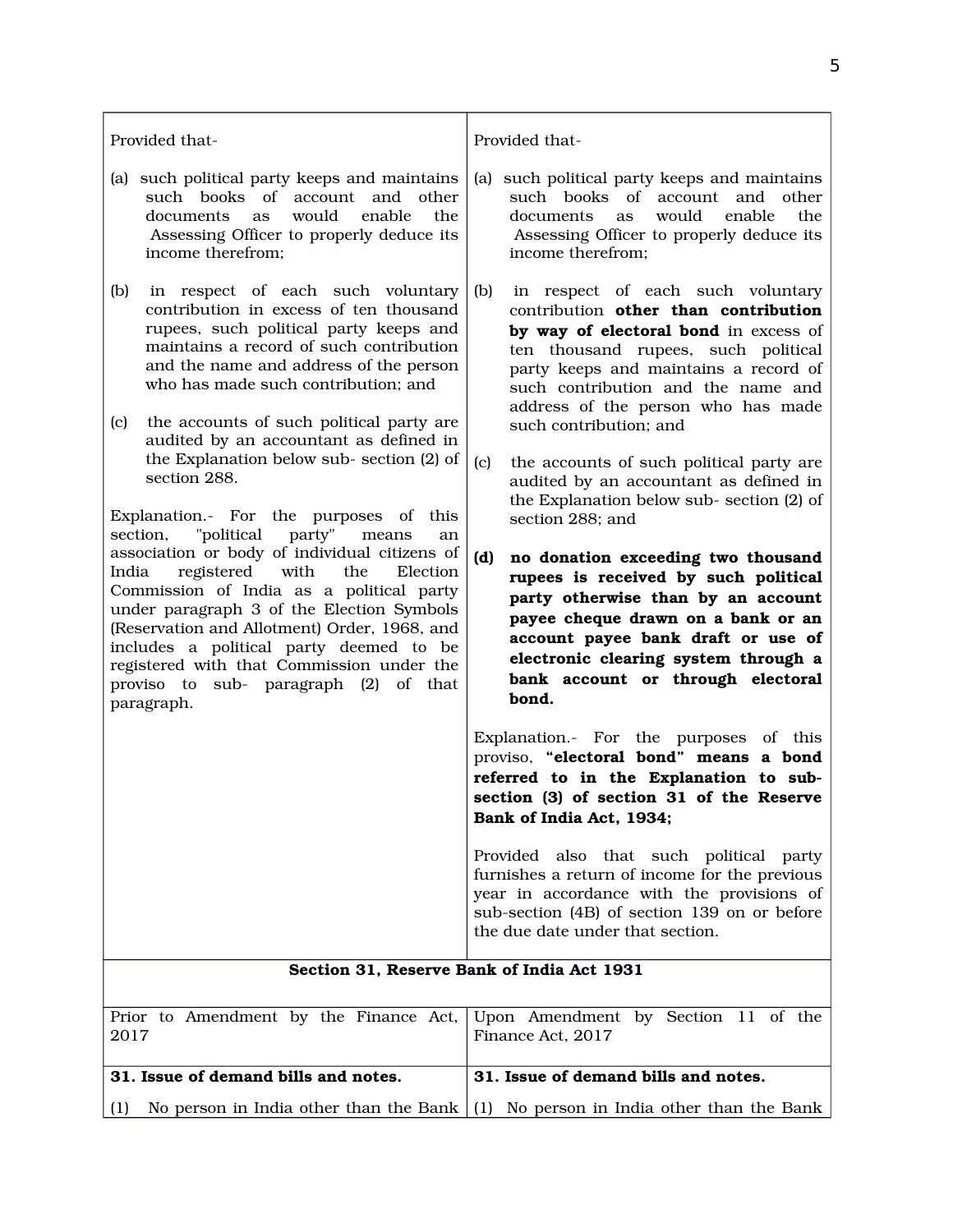| Provided that-                                                                                                                                                                                                                                                                                                                                                                                                                                                                       | Provided that-                                                                                                                                                                                                                                                                                                                                                                                               |
|--------------------------------------------------------------------------------------------------------------------------------------------------------------------------------------------------------------------------------------------------------------------------------------------------------------------------------------------------------------------------------------------------------------------------------------------------------------------------------------|--------------------------------------------------------------------------------------------------------------------------------------------------------------------------------------------------------------------------------------------------------------------------------------------------------------------------------------------------------------------------------------------------------------|
| (a) such political party keeps and maintains<br>such books of account and other<br>would<br>enable<br>documents<br>the<br><b>as</b><br>Assessing Officer to properly deduce its<br>income therefrom;                                                                                                                                                                                                                                                                                 | such political party keeps and maintains<br>(a)<br>such books of account and other<br>would<br>enable<br>documents<br>the<br>as<br>Assessing Officer to properly deduce its<br>income therefrom;                                                                                                                                                                                                             |
| (b)<br>in respect of each such voluntary<br>contribution in excess of ten thousand<br>rupees, such political party keeps and<br>maintains a record of such contribution<br>and the name and address of the person<br>who has made such contribution; and<br>the accounts of such political party are<br>(c)<br>audited by an accountant as defined in<br>the Explanation below sub-section (2) of<br>section 288.                                                                    | (b)<br>in respect of each such voluntary<br>contribution other than contribution<br>by way of electoral bond in excess of<br>ten thousand rupees, such political<br>party keeps and maintains a record of<br>such contribution and the name and<br>address of the person who has made<br>such contribution; and<br>the accounts of such political party are<br>(c)<br>audited by an accountant as defined in |
| Explanation.- For the purposes of this<br>"political<br>party"<br>section,<br>means<br>an<br>association or body of individual citizens of<br>registered<br>with<br>the<br>India<br>Election<br>Commission of India as a political party<br>under paragraph 3 of the Election Symbols<br>(Reservation and Allotment) Order, 1968, and<br>includes a political party deemed to be<br>registered with that Commission under the<br>proviso to sub- paragraph (2) of that<br>paragraph. | the Explanation below sub-section (2) of<br>section 288; and<br>(d)<br>no donation exceeding two thousand<br>rupees is received by such political<br>party otherwise than by an account<br>payee cheque drawn on a bank or an<br>account payee bank draft or use of<br>electronic clearing system through a<br>bank account or through electoral<br>bond.                                                    |
|                                                                                                                                                                                                                                                                                                                                                                                                                                                                                      | Explanation.- For the purposes of this<br>proviso, "electoral bond" means a bond<br>referred to in the Explanation to sub-<br>section (3) of section 31 of the Reserve<br>Bank of India Act, 1934;                                                                                                                                                                                                           |
|                                                                                                                                                                                                                                                                                                                                                                                                                                                                                      | Provided also that such political party<br>furnishes a return of income for the previous<br>year in accordance with the provisions of<br>sub-section (4B) of section 139 on or before<br>the due date under that section.                                                                                                                                                                                    |
| Section 31, Reserve Bank of India Act 1931                                                                                                                                                                                                                                                                                                                                                                                                                                           |                                                                                                                                                                                                                                                                                                                                                                                                              |
| Prior to Amendment by the Finance Act,<br>2017                                                                                                                                                                                                                                                                                                                                                                                                                                       | Upon Amendment by Section 11 of the<br>Finance Act, 2017                                                                                                                                                                                                                                                                                                                                                     |
| 31. Issue of demand bills and notes.                                                                                                                                                                                                                                                                                                                                                                                                                                                 | 31. Issue of demand bills and notes.                                                                                                                                                                                                                                                                                                                                                                         |
| (1)                                                                                                                                                                                                                                                                                                                                                                                                                                                                                  | No person in India other than the Bank $(1)$ No person in India other than the Bank                                                                                                                                                                                                                                                                                                                          |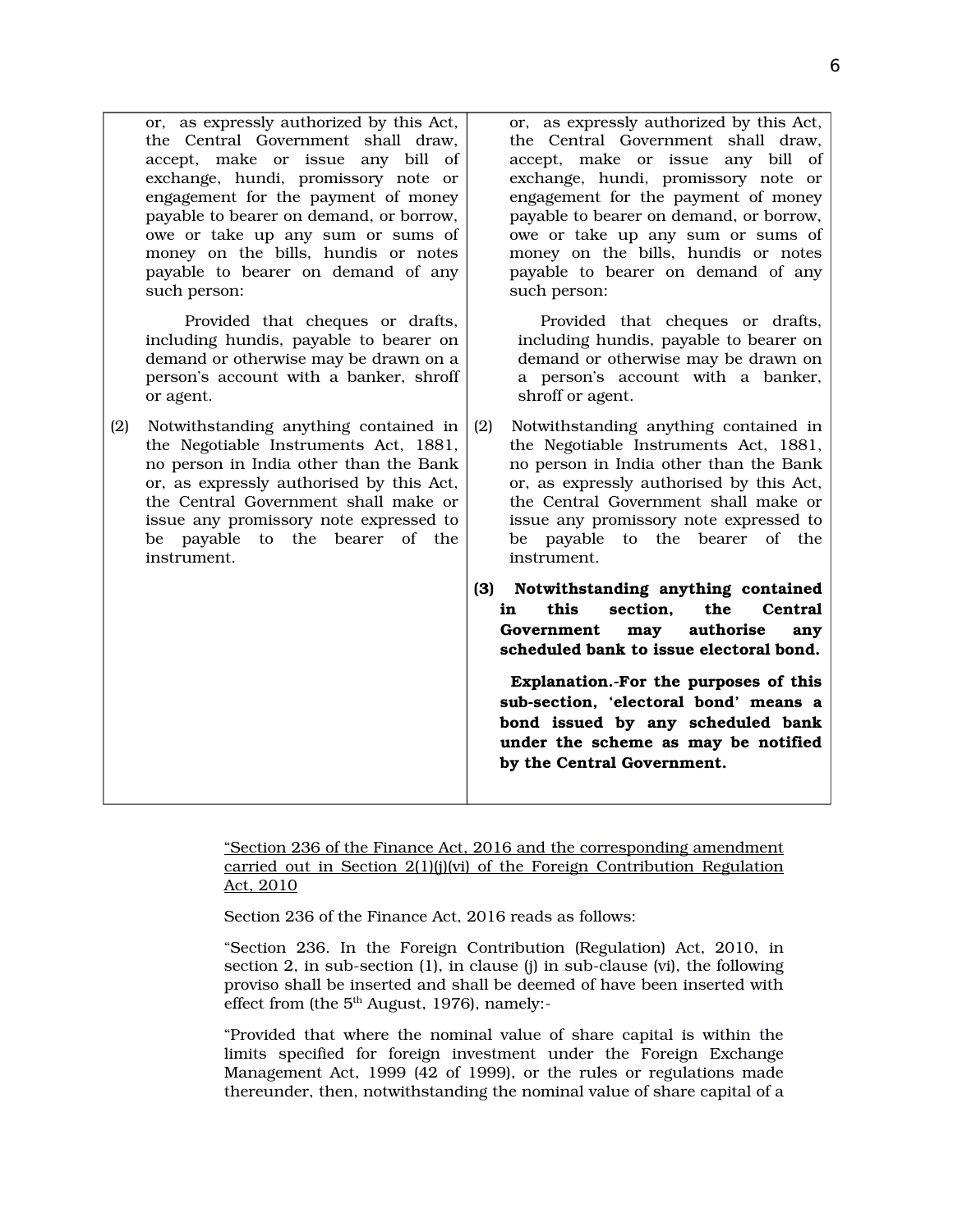|     | or, as expressly authorized by this Act,<br>the Central Government shall draw,<br>accept, make or issue any bill of<br>exchange, hundi, promissory note or<br>engagement for the payment of money<br>payable to bearer on demand, or borrow,<br>owe or take up any sum or sums of<br>money on the bills, hundis or notes<br>payable to bearer on demand of any<br>such person: | or, as expressly authorized by this Act,<br>the Central Government shall draw,<br>accept, make or issue any bill of<br>exchange, hundi, promissory note or<br>engagement for the payment of money<br>payable to bearer on demand, or borrow,<br>owe or take up any sum or sums of<br>money on the bills, hundis or notes<br>payable to bearer on demand of any<br>such person: |
|-----|--------------------------------------------------------------------------------------------------------------------------------------------------------------------------------------------------------------------------------------------------------------------------------------------------------------------------------------------------------------------------------|--------------------------------------------------------------------------------------------------------------------------------------------------------------------------------------------------------------------------------------------------------------------------------------------------------------------------------------------------------------------------------|
|     | Provided that cheques or drafts,<br>including hundis, payable to bearer on<br>demand or otherwise may be drawn on a<br>person's account with a banker, shroff<br>or agent.                                                                                                                                                                                                     | Provided that cheques or drafts,<br>including hundis, payable to bearer on<br>demand or otherwise may be drawn on<br>a person's account with a banker,<br>shroff or agent.                                                                                                                                                                                                     |
| (2) | Notwithstanding anything contained in<br>the Negotiable Instruments Act, 1881,<br>no person in India other than the Bank<br>or, as expressly authorised by this Act,<br>the Central Government shall make or<br>issue any promissory note expressed to<br>be payable to the bearer<br>of the<br>instrument.                                                                    | Notwithstanding anything contained in<br>(2)<br>the Negotiable Instruments Act, 1881,<br>no person in India other than the Bank<br>or, as expressly authorised by this Act,<br>the Central Government shall make or<br>issue any promissory note expressed to<br>be payable to the bearer<br>of the<br>instrument.                                                             |
|     |                                                                                                                                                                                                                                                                                                                                                                                | (3) Notwithstanding anything contained<br>this<br>section.<br>the<br>Central<br>in<br>authorise<br>Government<br>may<br>any<br>scheduled bank to issue electoral bond.                                                                                                                                                                                                         |
|     |                                                                                                                                                                                                                                                                                                                                                                                | Explanation.-For the purposes of this<br>sub-section, 'electoral bond' means a<br>bond issued by any scheduled bank<br>under the scheme as may be notified<br>by the Central Government.                                                                                                                                                                                       |

"Section 236 of the Finance Act, 2016 and the corresponding amendment carried out in Section 2(1)(j)(vi) of the Foreign Contribution Regulation Act, 2010

Section 236 of the Finance Act, 2016 reads as follows:

"Section 236. In the Foreign Contribution (Regulation) Act, 2010, in section 2, in sub-section (1), in clause (j) in sub-clause (vi), the following proviso shall be inserted and shall be deemed of have been inserted with effect from (the  $5<sup>th</sup>$  August, 1976), namely:-

"Provided that where the nominal value of share capital is within the limits specified for foreign investment under the Foreign Exchange Management Act, 1999 (42 of 1999), or the rules or regulations made thereunder, then, notwithstanding the nominal value of share capital of a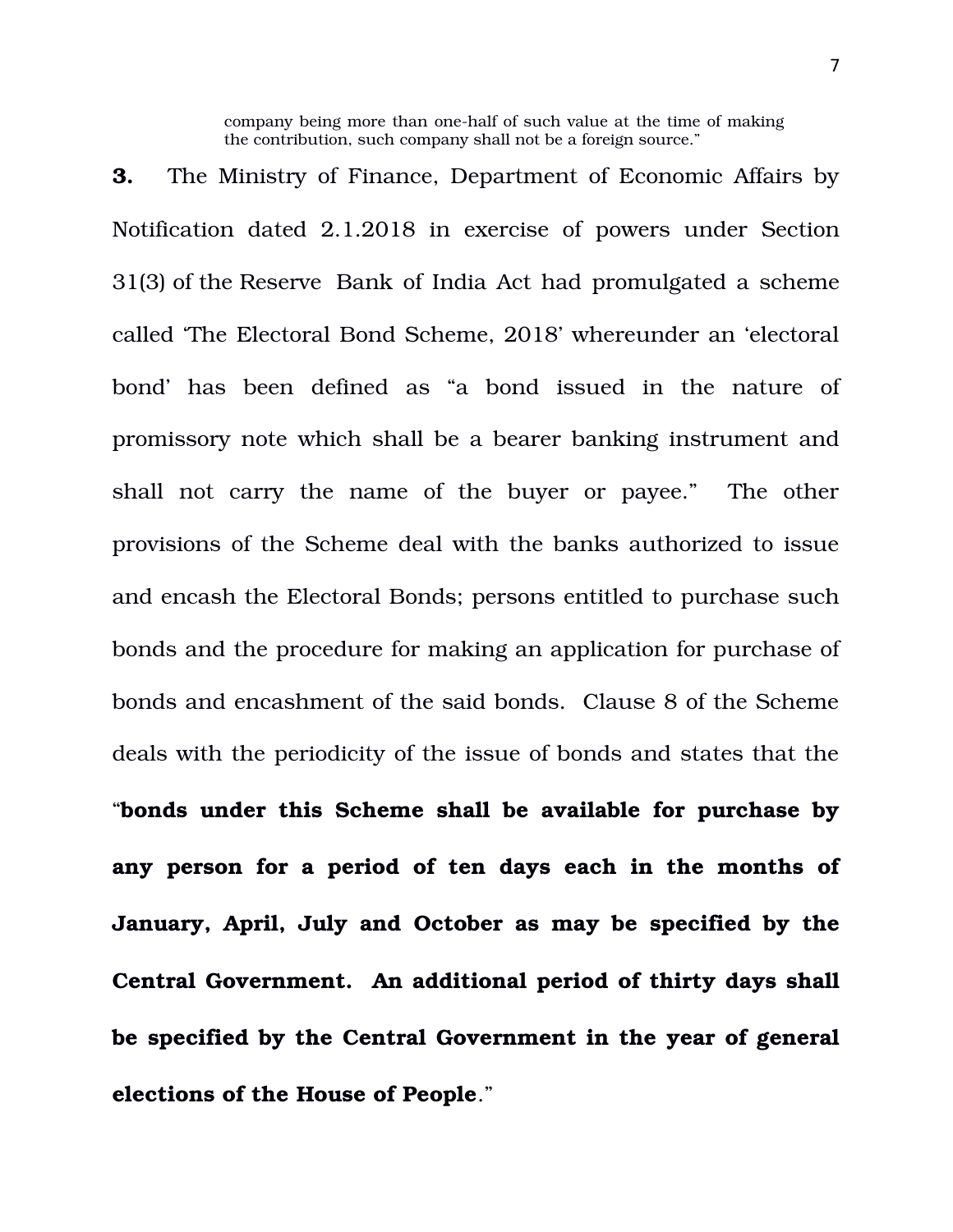company being more than one-half of such value at the time of making the contribution, such company shall not be a foreign source."

**3.** The Ministry of Finance, Department of Economic Affairs by Notification dated 2.1.2018 in exercise of powers under Section 31(3) of the Reserve Bank of India Act had promulgated a scheme called 'The Electoral Bond Scheme, 2018' whereunder an 'electoral bond' has been defined as "a bond issued in the nature of promissory note which shall be a bearer banking instrument and shall not carry the name of the buyer or payee." The other provisions of the Scheme deal with the banks authorized to issue and encash the Electoral Bonds; persons entitled to purchase such bonds and the procedure for making an application for purchase of bonds and encashment of the said bonds. Clause 8 of the Scheme deals with the periodicity of the issue of bonds and states that the "**bonds under this Scheme shall be available for purchase by any person for a period of ten days each in the months of January, April, July and October as may be specified by the Central Government. An additional period of thirty days shall be specified by the Central Government in the year of general elections of the House of People**."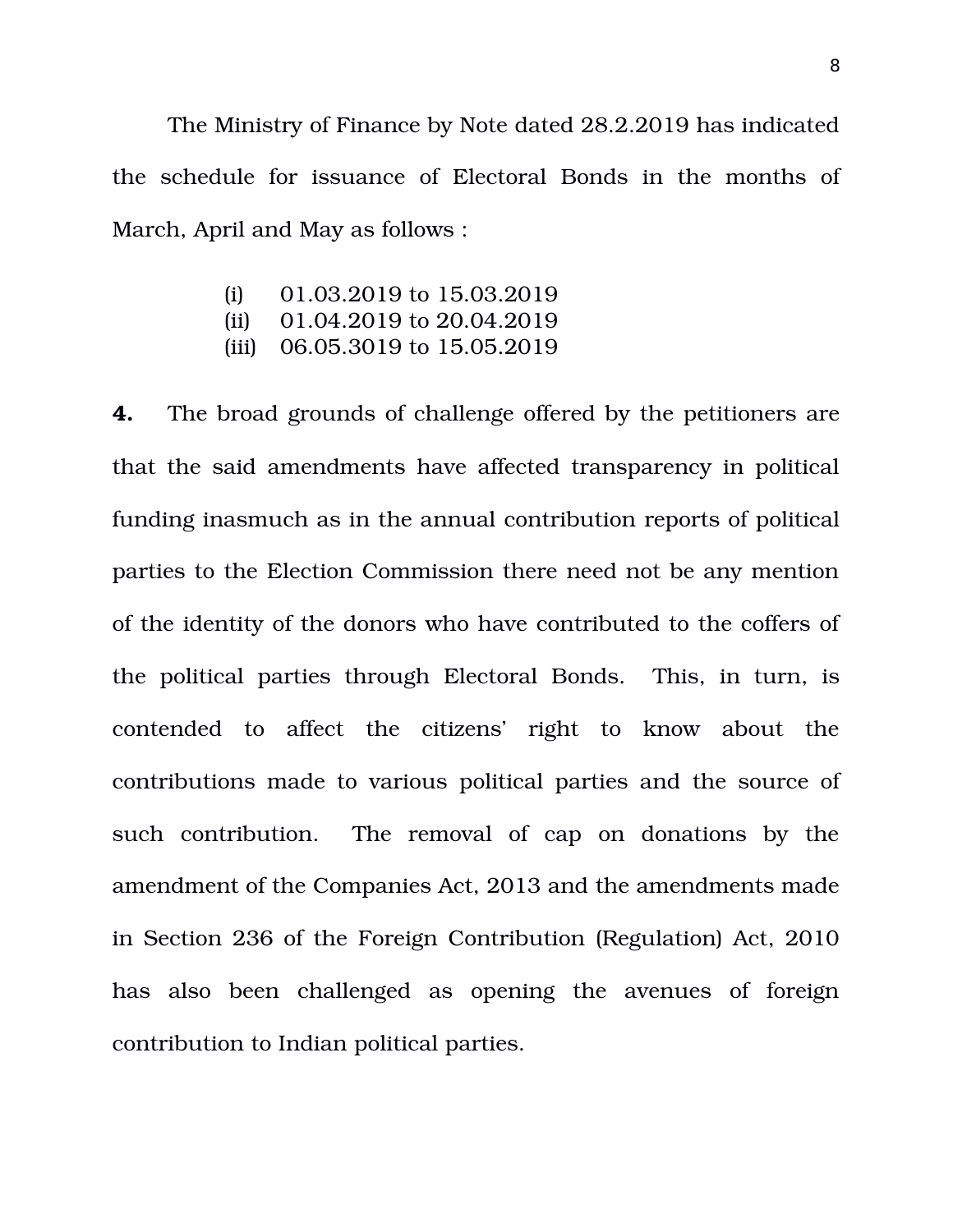The Ministry of Finance by Note dated 28.2.2019 has indicated the schedule for issuance of Electoral Bonds in the months of March, April and May as follows :

- (i) 01.03.2019 to 15.03.2019
- (ii) 01.04.2019 to 20.04.2019
- (iii) 06.05.3019 to 15.05.2019

**4.** The broad grounds of challenge offered by the petitioners are that the said amendments have affected transparency in political funding inasmuch as in the annual contribution reports of political parties to the Election Commission there need not be any mention of the identity of the donors who have contributed to the coffers of the political parties through Electoral Bonds. This, in turn, is contended to affect the citizens' right to know about the contributions made to various political parties and the source of such contribution. The removal of cap on donations by the amendment of the Companies Act, 2013 and the amendments made in Section 236 of the Foreign Contribution (Regulation) Act, 2010 has also been challenged as opening the avenues of foreign contribution to Indian political parties.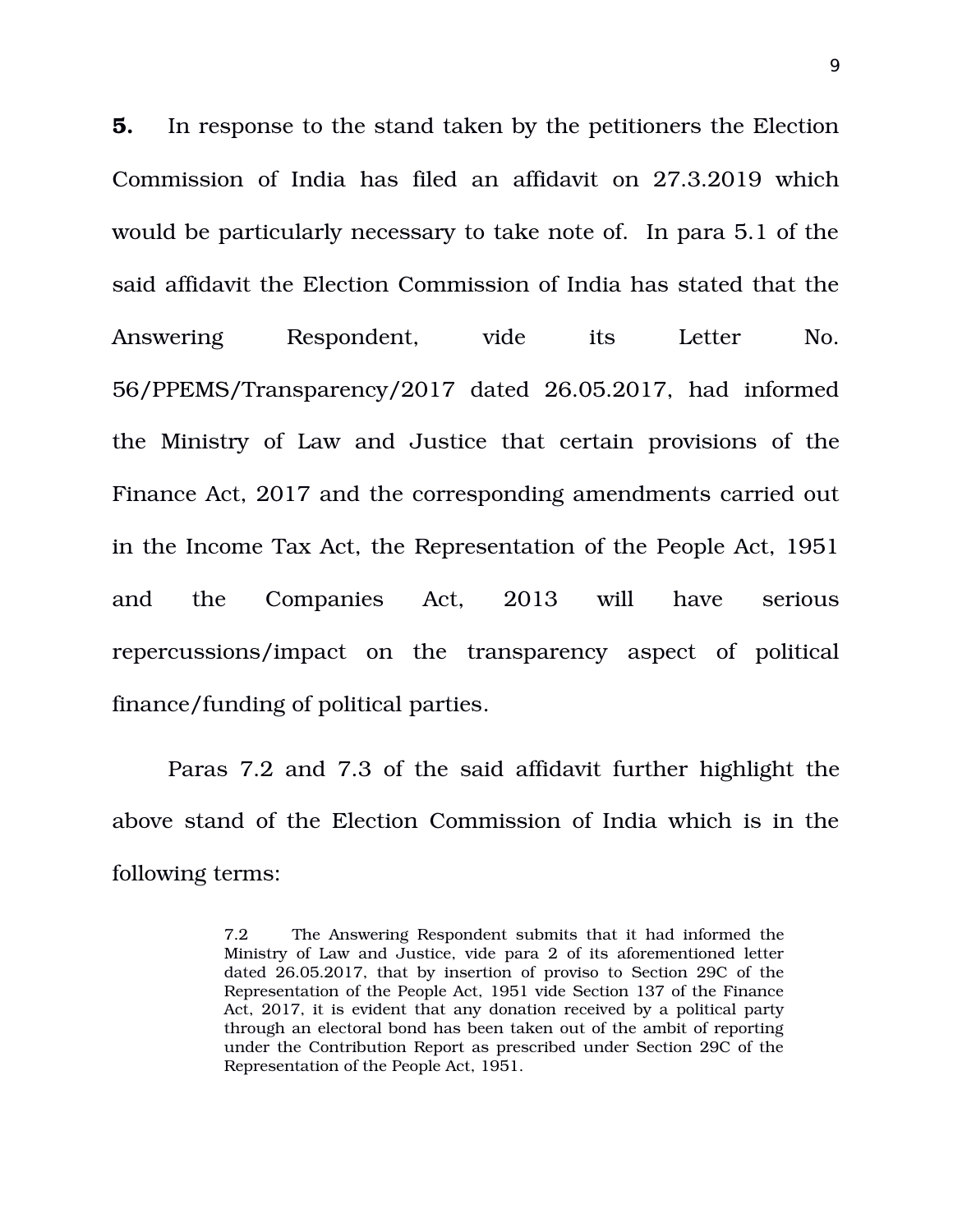**5.** In response to the stand taken by the petitioners the Election Commission of India has filed an affidavit on 27.3.2019 which would be particularly necessary to take note of. In para 5.1 of the said affidavit the Election Commission of India has stated that the Answering Respondent, vide its Letter No. 56/PPEMS/Transparency/2017 dated 26.05.2017, had informed the Ministry of Law and Justice that certain provisions of the Finance Act, 2017 and the corresponding amendments carried out in the Income Tax Act, the Representation of the People Act, 1951 and the Companies Act, 2013 will have serious repercussions/impact on the transparency aspect of political finance/funding of political parties.

Paras 7.2 and 7.3 of the said affidavit further highlight the above stand of the Election Commission of India which is in the following terms:

<sup>7.2</sup> The Answering Respondent submits that it had informed the Ministry of Law and Justice, vide para 2 of its aforementioned letter dated 26.05.2017, that by insertion of proviso to Section 29C of the Representation of the People Act, 1951 vide Section 137 of the Finance Act, 2017, it is evident that any donation received by a political party through an electoral bond has been taken out of the ambit of reporting under the Contribution Report as prescribed under Section 29C of the Representation of the People Act, 1951.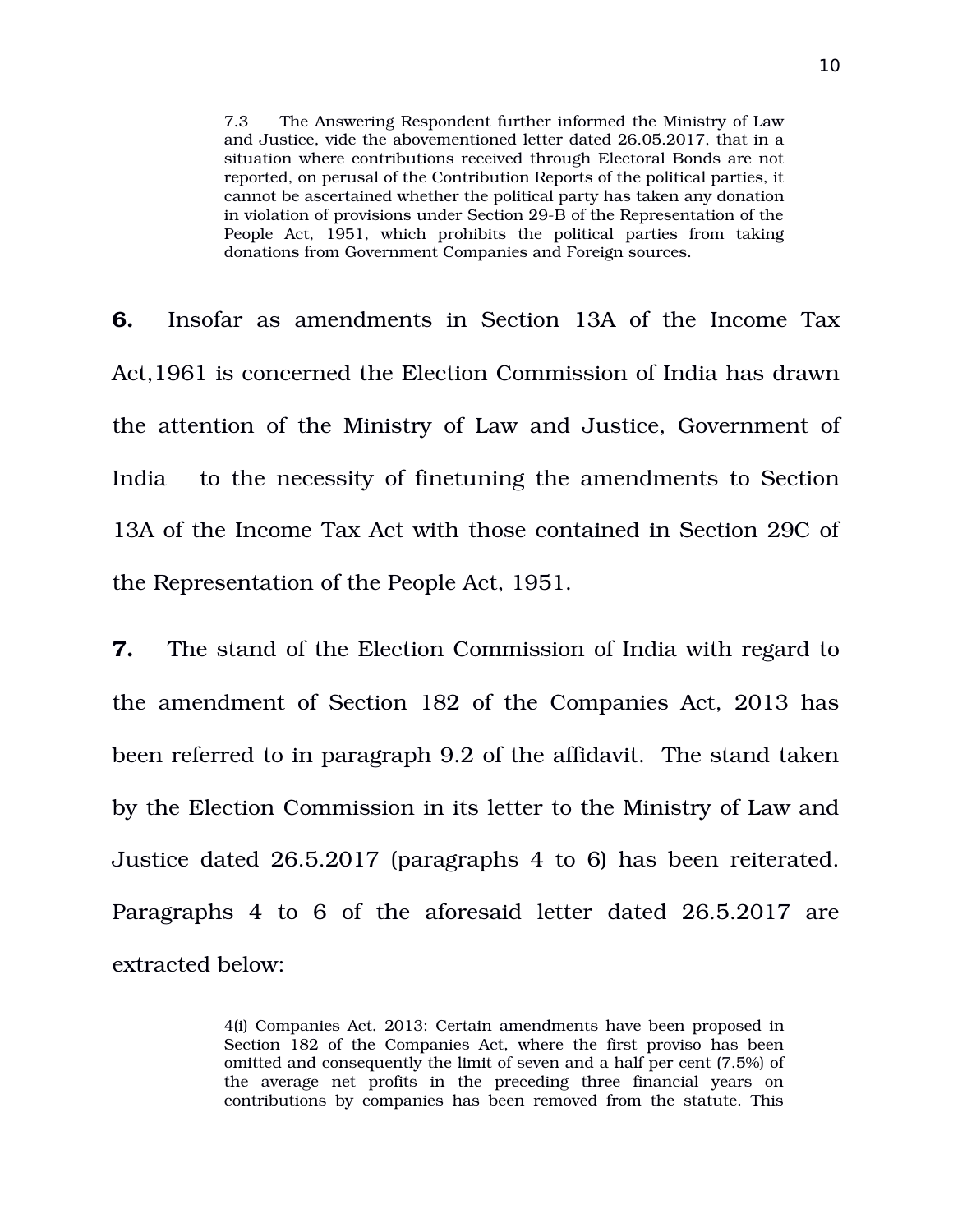7.3 The Answering Respondent further informed the Ministry of Law and Justice, vide the abovementioned letter dated 26.05.2017, that in a situation where contributions received through Electoral Bonds are not reported, on perusal of the Contribution Reports of the political parties, it cannot be ascertained whether the political party has taken any donation in violation of provisions under Section 29-B of the Representation of the People Act, 1951, which prohibits the political parties from taking donations from Government Companies and Foreign sources.

**6.** Insofar as amendments in Section 13A of the Income Tax Act,1961 is concerned the Election Commission of India has drawn the attention of the Ministry of Law and Justice, Government of India to the necessity of finetuning the amendments to Section 13A of the Income Tax Act with those contained in Section 29C of the Representation of the People Act, 1951.

**7.** The stand of the Election Commission of India with regard to the amendment of Section 182 of the Companies Act, 2013 has been referred to in paragraph 9.2 of the affidavit. The stand taken by the Election Commission in its letter to the Ministry of Law and Justice dated 26.5.2017 (paragraphs 4 to 6) has been reiterated. Paragraphs 4 to 6 of the aforesaid letter dated 26.5.2017 are extracted below:

> 4(i) Companies Act, 2013: Certain amendments have been proposed in Section 182 of the Companies Act, where the first proviso has been omitted and consequently the limit of seven and a half per cent (7.5%) of the average net profits in the preceding three financial years on contributions by companies has been removed from the statute. This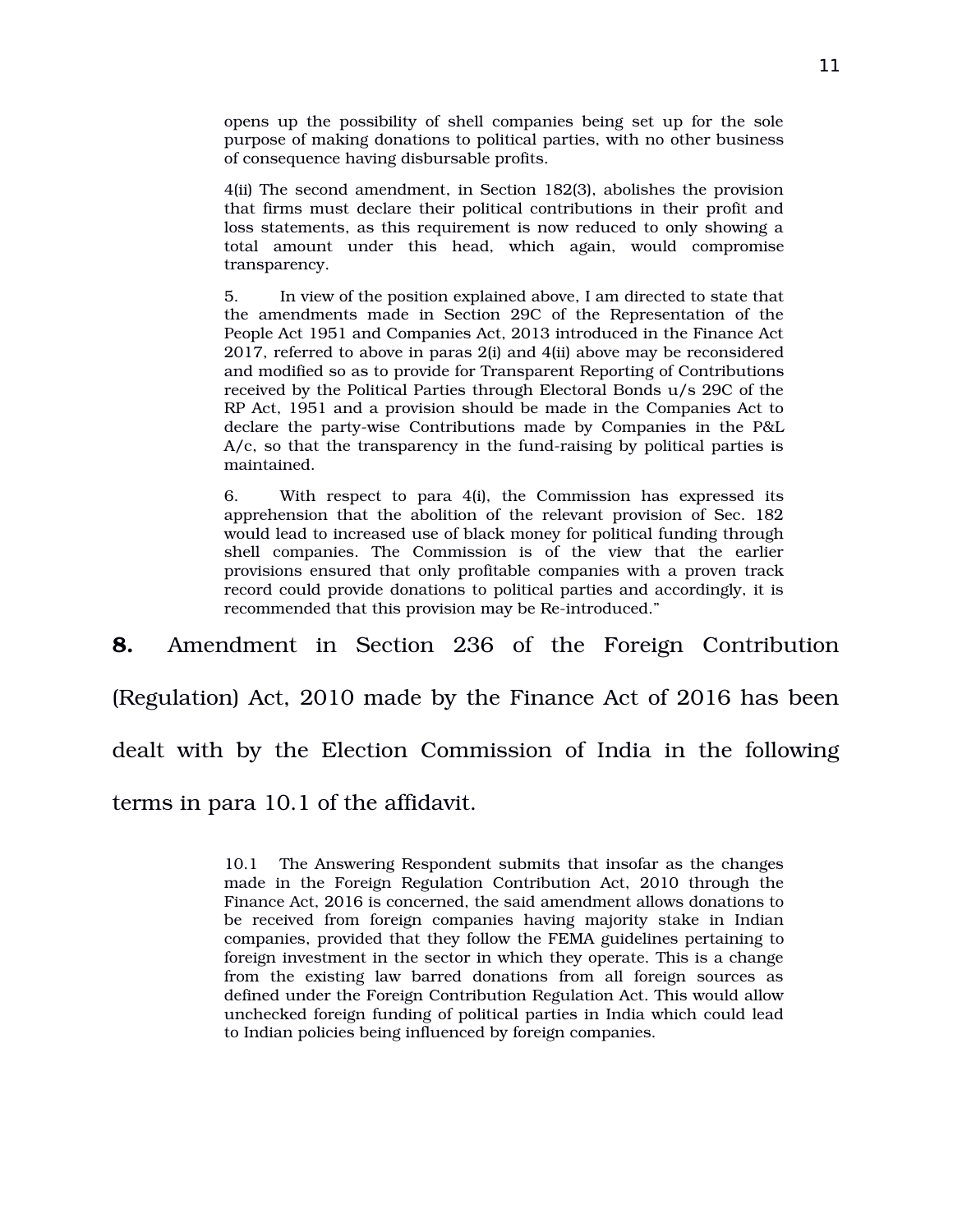opens up the possibility of shell companies being set up for the sole purpose of making donations to political parties, with no other business of consequence having disbursable profits.

4(ii) The second amendment, in Section 182(3), abolishes the provision that firms must declare their political contributions in their profit and loss statements, as this requirement is now reduced to only showing a total amount under this head, which again, would compromise transparency.

5. In view of the position explained above, I am directed to state that the amendments made in Section 29C of the Representation of the People Act 1951 and Companies Act, 2013 introduced in the Finance Act 2017, referred to above in paras 2(i) and 4(ii) above may be reconsidered and modified so as to provide for Transparent Reporting of Contributions received by the Political Parties through Electoral Bonds u/s 29C of the RP Act, 1951 and a provision should be made in the Companies Act to declare the party-wise Contributions made by Companies in the P&L  $A/c$ , so that the transparency in the fund-raising by political parties is maintained.

6. With respect to para 4(i), the Commission has expressed its apprehension that the abolition of the relevant provision of Sec. 182 would lead to increased use of black money for political funding through shell companies. The Commission is of the view that the earlier provisions ensured that only profitable companies with a proven track record could provide donations to political parties and accordingly, it is recommended that this provision may be Re-introduced."

**8.** Amendment in Section 236 of the Foreign Contribution

(Regulation) Act, 2010 made by the Finance Act of 2016 has been

dealt with by the Election Commission of India in the following

terms in para 10.1 of the affidavit.

10.1 The Answering Respondent submits that insofar as the changes made in the Foreign Regulation Contribution Act, 2010 through the Finance Act, 2016 is concerned, the said amendment allows donations to be received from foreign companies having majority stake in Indian companies, provided that they follow the FEMA guidelines pertaining to foreign investment in the sector in which they operate. This is a change from the existing law barred donations from all foreign sources as defined under the Foreign Contribution Regulation Act. This would allow unchecked foreign funding of political parties in India which could lead to Indian policies being influenced by foreign companies.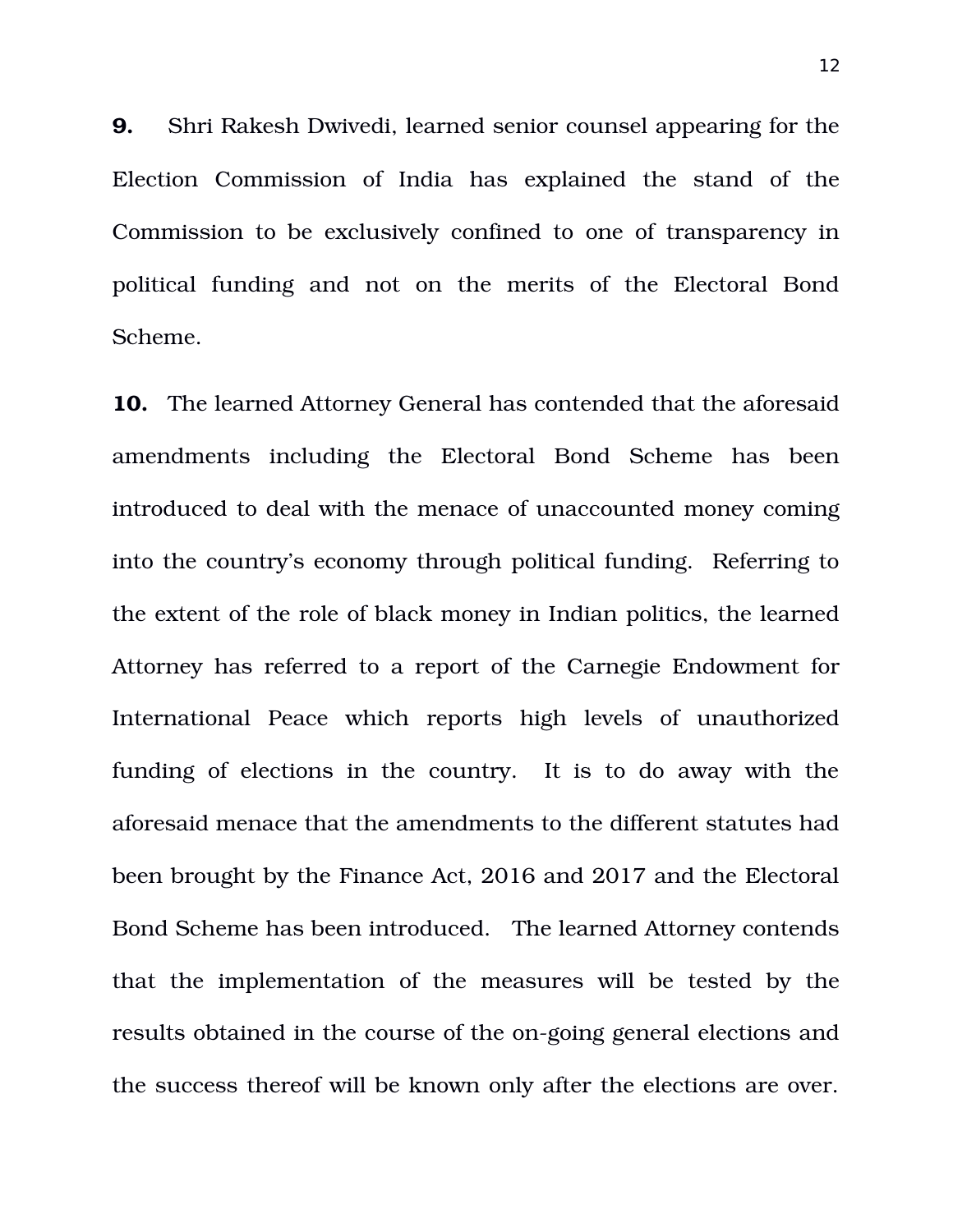**9.** Shri Rakesh Dwivedi, learned senior counsel appearing for the Election Commission of India has explained the stand of the Commission to be exclusively confined to one of transparency in political funding and not on the merits of the Electoral Bond Scheme.

**10.** The learned Attorney General has contended that the aforesaid amendments including the Electoral Bond Scheme has been introduced to deal with the menace of unaccounted money coming into the country's economy through political funding. Referring to the extent of the role of black money in Indian politics, the learned Attorney has referred to a report of the Carnegie Endowment for International Peace which reports high levels of unauthorized funding of elections in the country. It is to do away with the aforesaid menace that the amendments to the different statutes had been brought by the Finance Act, 2016 and 2017 and the Electoral Bond Scheme has been introduced. The learned Attorney contends that the implementation of the measures will be tested by the results obtained in the course of the on-going general elections and the success thereof will be known only after the elections are over.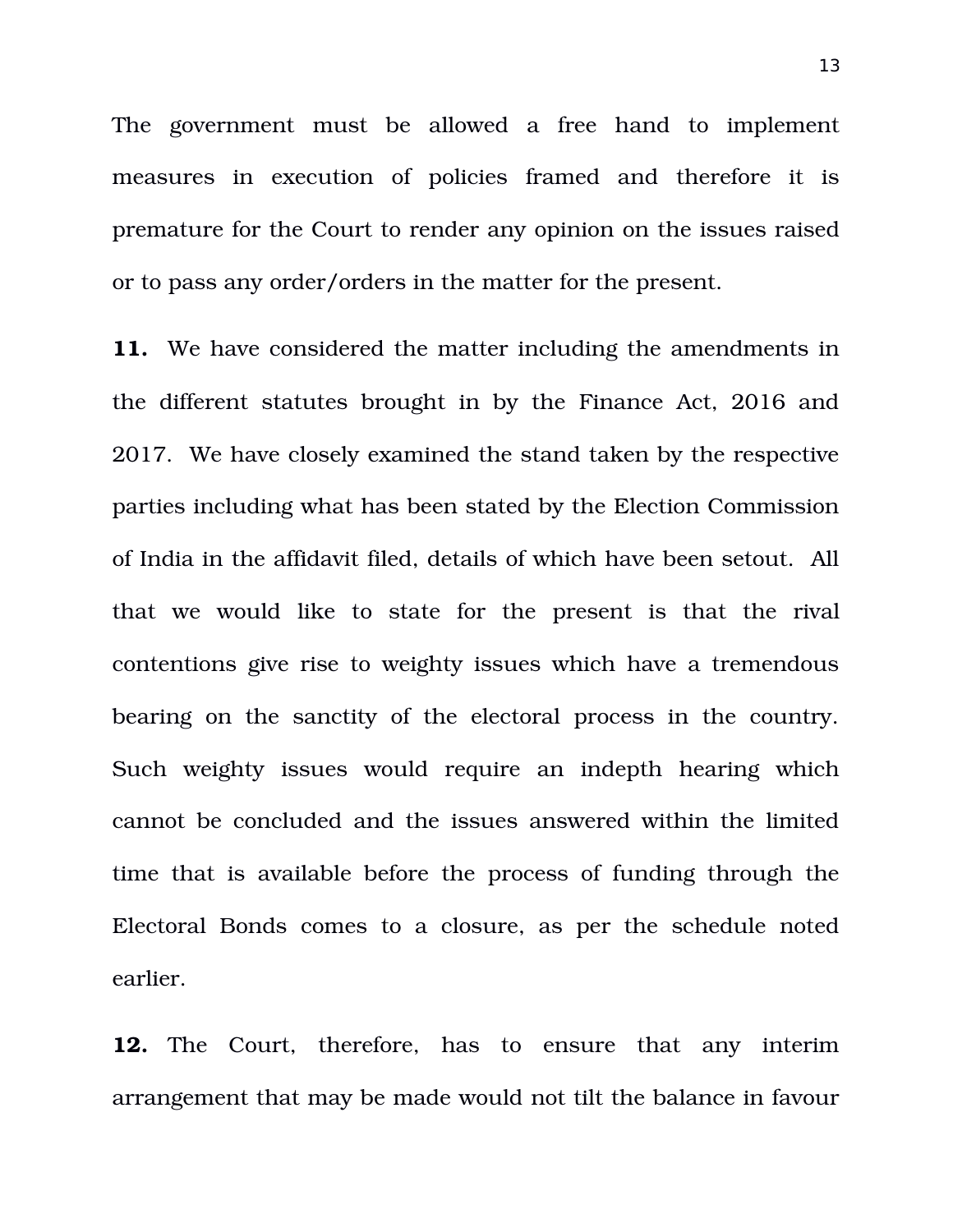The government must be allowed a free hand to implement measures in execution of policies framed and therefore it is premature for the Court to render any opinion on the issues raised or to pass any order/orders in the matter for the present.

**11.** We have considered the matter including the amendments in the different statutes brought in by the Finance Act, 2016 and 2017. We have closely examined the stand taken by the respective parties including what has been stated by the Election Commission of India in the affidavit filed, details of which have been setout. All that we would like to state for the present is that the rival contentions give rise to weighty issues which have a tremendous bearing on the sanctity of the electoral process in the country. Such weighty issues would require an indepth hearing which cannot be concluded and the issues answered within the limited time that is available before the process of funding through the Electoral Bonds comes to a closure, as per the schedule noted earlier.

**12.** The Court, therefore, has to ensure that any interim arrangement that may be made would not tilt the balance in favour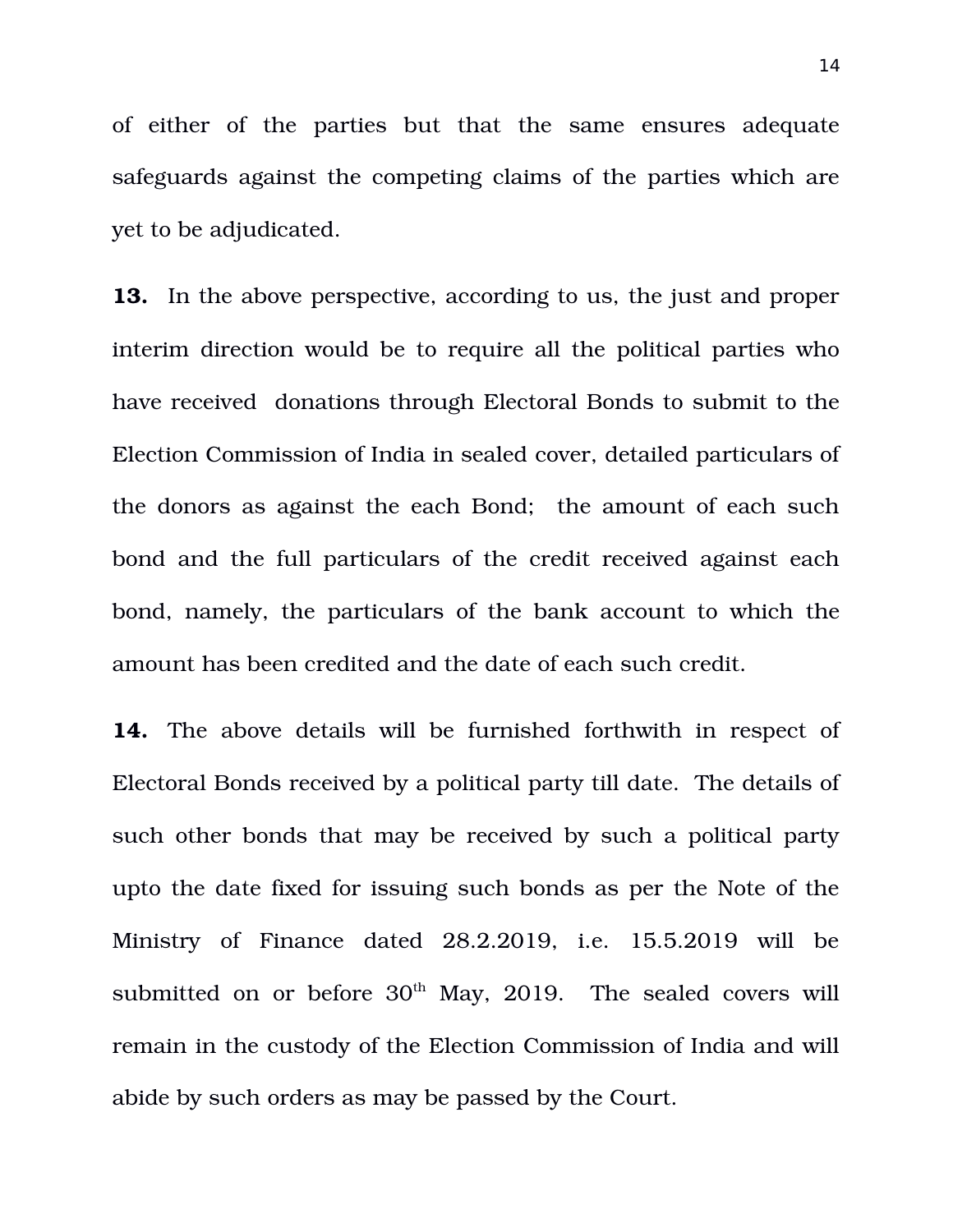of either of the parties but that the same ensures adequate safeguards against the competing claims of the parties which are yet to be adjudicated.

**13.** In the above perspective, according to us, the just and proper interim direction would be to require all the political parties who have received donations through Electoral Bonds to submit to the Election Commission of India in sealed cover, detailed particulars of the donors as against the each Bond; the amount of each such bond and the full particulars of the credit received against each bond, namely, the particulars of the bank account to which the amount has been credited and the date of each such credit.

**14.** The above details will be furnished forthwith in respect of Electoral Bonds received by a political party till date. The details of such other bonds that may be received by such a political party upto the date fixed for issuing such bonds as per the Note of the Ministry of Finance dated 28.2.2019, i.e. 15.5.2019 will be submitted on or before  $30<sup>th</sup>$  May, 2019. The sealed covers will remain in the custody of the Election Commission of India and will abide by such orders as may be passed by the Court.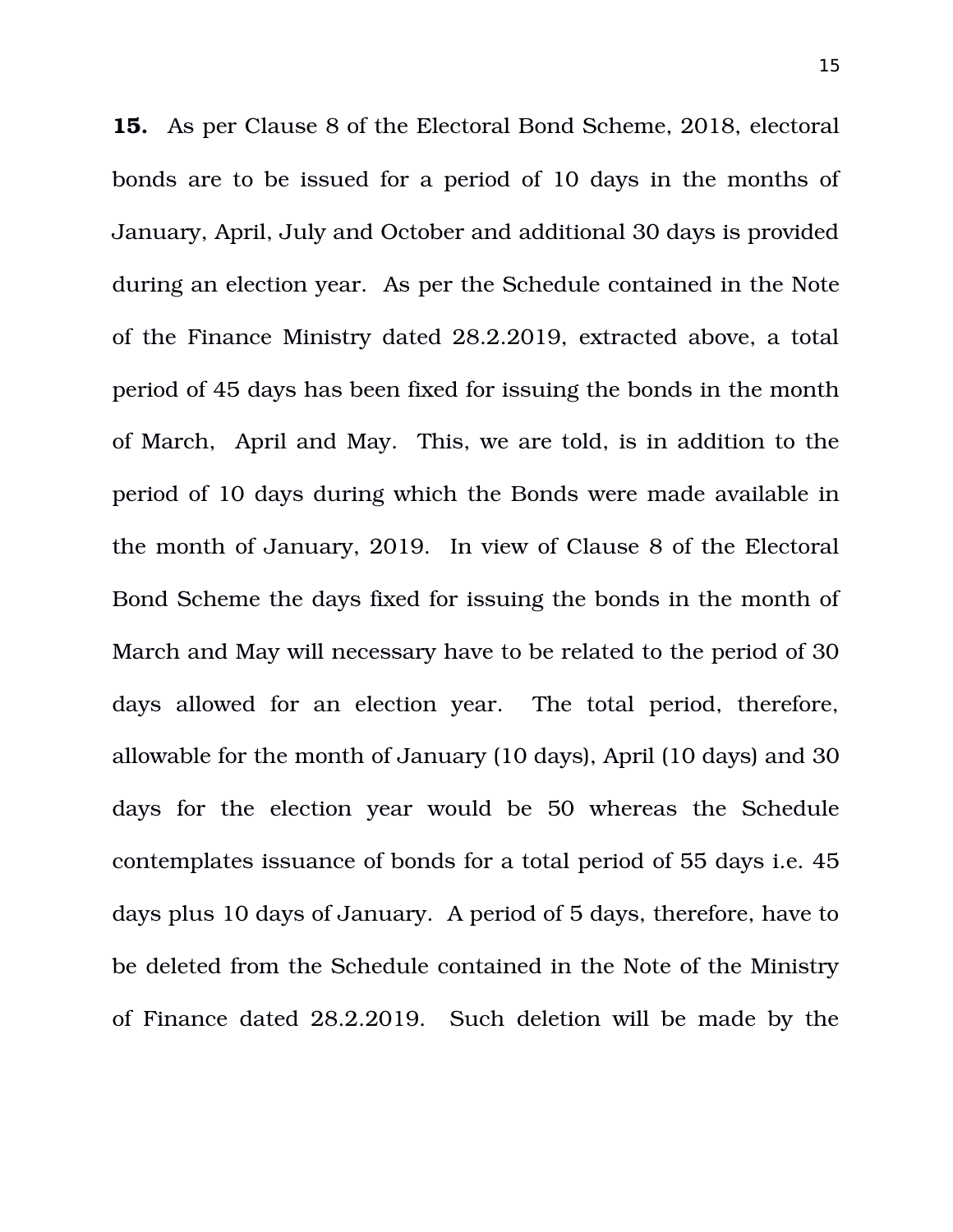**15.** As per Clause 8 of the Electoral Bond Scheme, 2018, electoral bonds are to be issued for a period of 10 days in the months of January, April, July and October and additional 30 days is provided during an election year. As per the Schedule contained in the Note of the Finance Ministry dated 28.2.2019, extracted above, a total period of 45 days has been fixed for issuing the bonds in the month of March, April and May. This, we are told, is in addition to the period of 10 days during which the Bonds were made available in the month of January, 2019. In view of Clause 8 of the Electoral Bond Scheme the days fixed for issuing the bonds in the month of March and May will necessary have to be related to the period of 30 days allowed for an election year. The total period, therefore, allowable for the month of January (10 days), April (10 days) and 30 days for the election year would be 50 whereas the Schedule contemplates issuance of bonds for a total period of 55 days i.e. 45 days plus 10 days of January. A period of 5 days, therefore, have to be deleted from the Schedule contained in the Note of the Ministry of Finance dated 28.2.2019. Such deletion will be made by the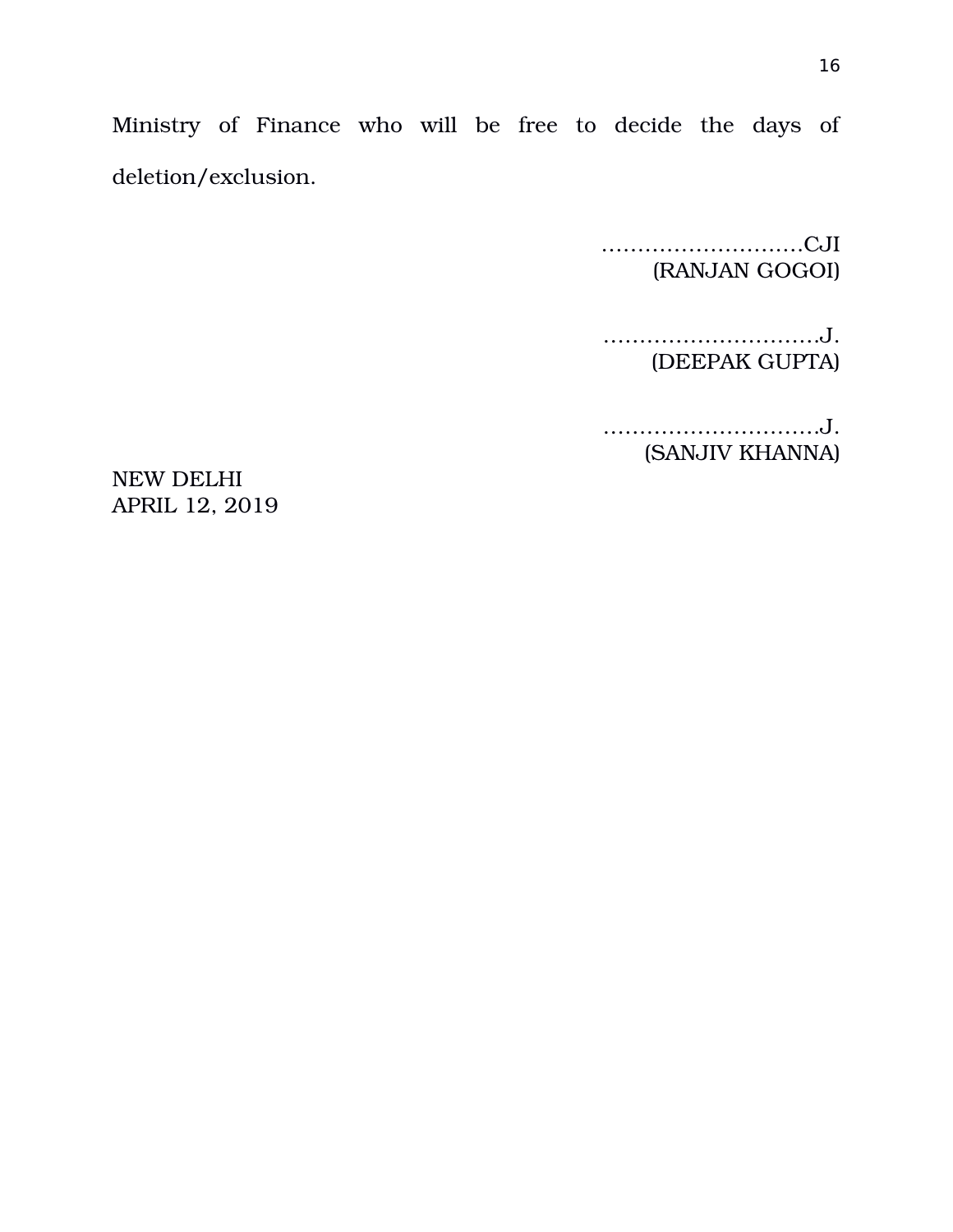Ministry of Finance who will be free to decide the days of deletion/exclusion.

> …………………….…CJI (RANJAN GOGOI)

…………………………J. (DEEPAK GUPTA)

…………………………J. (SANJIV KHANNA)

NEW DELHI APRIL 12, 2019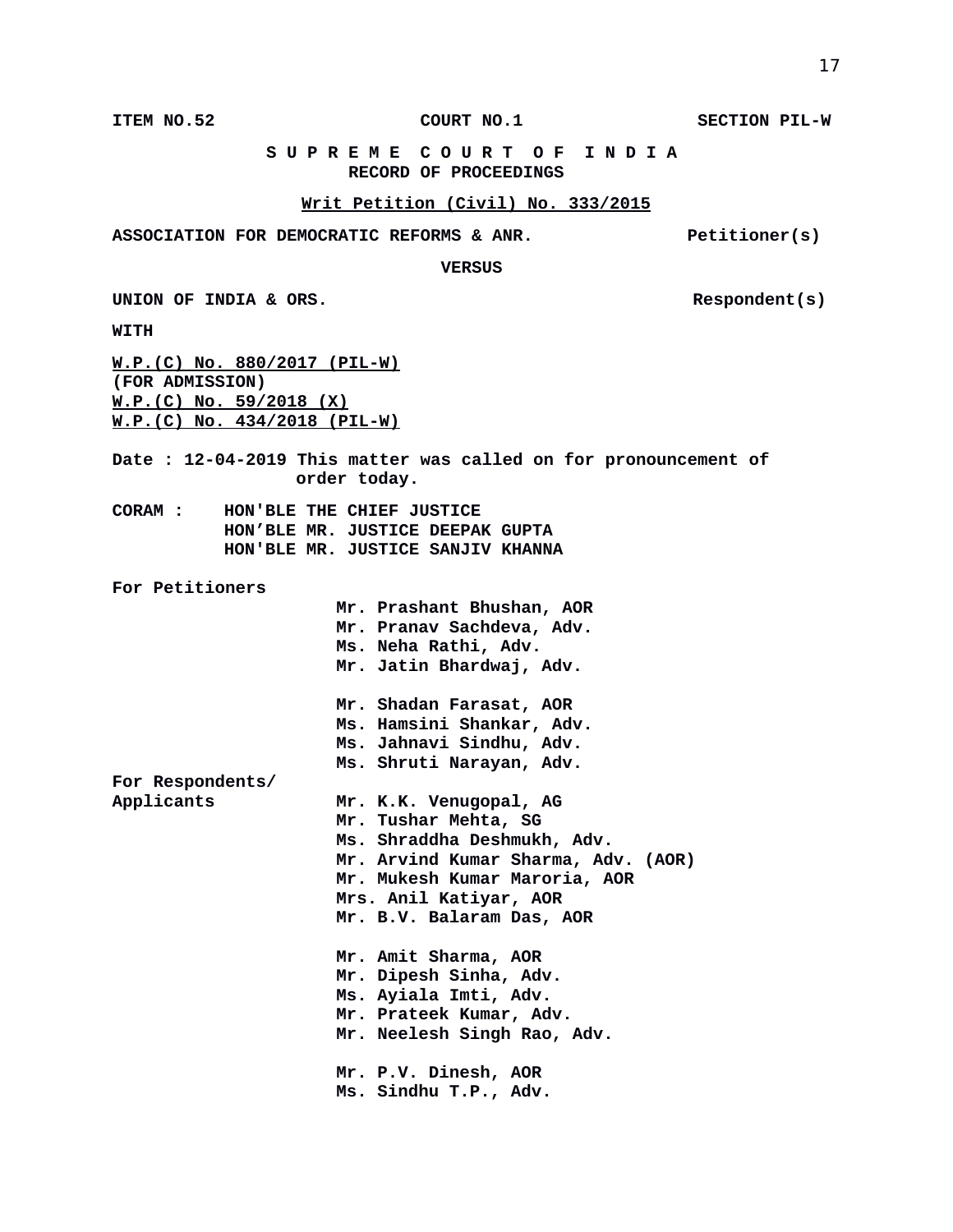**ITEM NO.52 COURT NO.1 SECTION PIL-W**

### **S U P R E M E C O U R T O F I N D I A RECORD OF PROCEEDINGS**

### **Writ Petition (Civil) No. 333/2015**

ASSOCIATION FOR DEMOCRATIC REFORMS & ANR. Petitioner(s)

#### **VERSUS**

UNION OF INDIA & ORS. **Respondent(s)** 

**WITH**

**W.P.(C) No. 880/2017 (PIL-W) (FOR ADMISSION) W.P.(C) No. 59/2018 (X) W.P.(C) No. 434/2018 (PIL-W)**

**Date : 12-04-2019 This matter was called on for pronouncement of order today.**

- **CORAM : HON'BLE THE CHIEF JUSTICE HON'BLE MR. JUSTICE DEEPAK GUPTA HON'BLE MR. JUSTICE SANJIV KHANNA**
- **For Petitioners**
- **Mr. Prashant Bhushan, AOR Mr. Pranav Sachdeva, Adv. Ms. Neha Rathi, Adv. Mr. Jatin Bhardwaj, Adv. Mr. Shadan Farasat, AOR Ms. Hamsini Shankar, Adv. Ms. Jahnavi Sindhu, Adv. Ms. Shruti Narayan, Adv. For Respondents/ Applicants Mr. K.K. Venugopal, AG Mr. Tushar Mehta, SG Ms. Shraddha Deshmukh, Adv. Mr. Arvind Kumar Sharma, Adv. (AOR) Mr. Mukesh Kumar Maroria, AOR Mrs. Anil Katiyar, AOR Mr. B.V. Balaram Das, AOR Mr. Amit Sharma, AOR Mr. Dipesh Sinha, Adv. Ms. Ayiala Imti, Adv. Mr. Prateek Kumar, Adv. Mr. Neelesh Singh Rao, Adv. Mr. P.V. Dinesh, AOR Ms. Sindhu T.P., Adv.**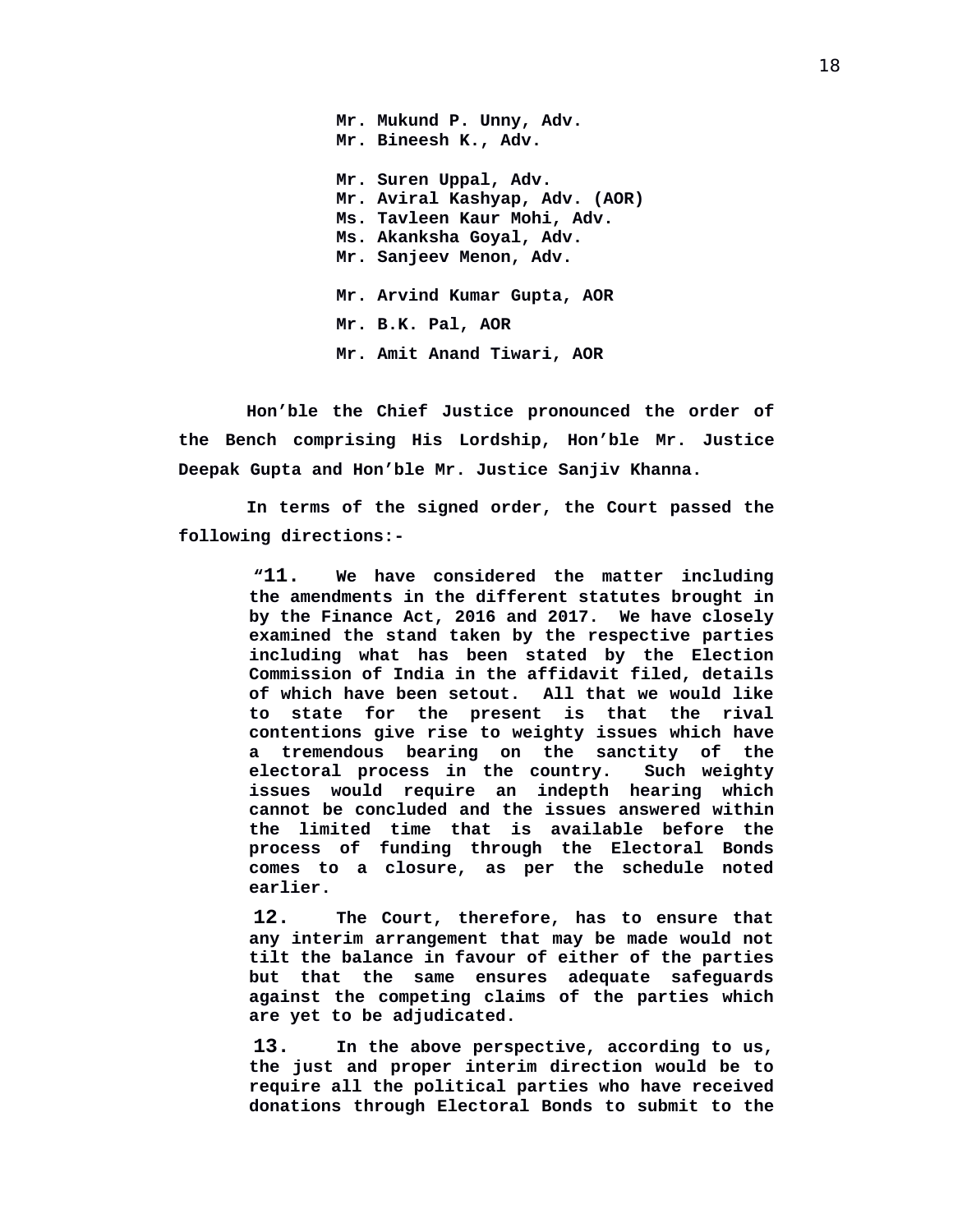**Mr. Mukund P. Unny, Adv. Mr. Bineesh K., Adv. Mr. Suren Uppal, Adv. Mr. Aviral Kashyap, Adv. (AOR) Ms. Tavleen Kaur Mohi, Adv. Ms. Akanksha Goyal, Adv. Mr. Sanjeev Menon, Adv. Mr. Arvind Kumar Gupta, AOR Mr. B.K. Pal, AOR Mr. Amit Anand Tiwari, AOR**

**Hon'ble the Chief Justice pronounced the order of the Bench comprising His Lordship, Hon'ble Mr. Justice Deepak Gupta and Hon'ble Mr. Justice Sanjiv Khanna.**

**In terms of the signed order, the Court passed the following directions:-**

> **"11. We have considered the matter including the amendments in the different statutes brought in by the Finance Act, 2016 and 2017. We have closely examined the stand taken by the respective parties including what has been stated by the Election Commission of India in the affidavit filed, details of which have been setout. All that we would like to state for the present is that the rival contentions give rise to weighty issues which have a tremendous bearing on the sanctity of the** electoral process in the country. **issues would require an indepth hearing which cannot be concluded and the issues answered within the limited time that is available before the process of funding through the Electoral Bonds comes to a closure, as per the schedule noted earlier.**

> **12. The Court, therefore, has to ensure that any interim arrangement that may be made would not tilt the balance in favour of either of the parties but that the same ensures adequate safeguards against the competing claims of the parties which are yet to be adjudicated.**

> **13. In the above perspective, according to us, the just and proper interim direction would be to require all the political parties who have received donations through Electoral Bonds to submit to the**